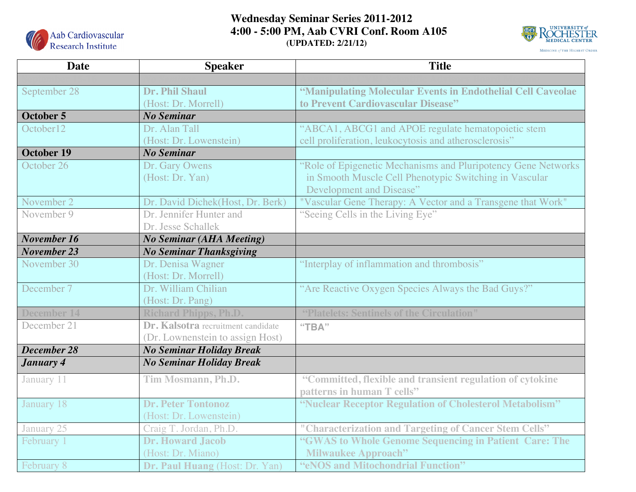

## **Wednesday Seminar Series 2011-2012 4:00 - 5:00 PM, Aab CVRI Conf. Room A105 (UPDATED: 2/21/12)**



| <b>Date</b>        | <b>Speaker</b>                     | <b>Title</b>                                                  |
|--------------------|------------------------------------|---------------------------------------------------------------|
|                    |                                    |                                                               |
| September 28       | Dr. Phil Shaul                     | "Manipulating Molecular Events in Endothelial Cell Caveolae   |
|                    | (Host: Dr. Morrell)                | to Prevent Cardiovascular Disease"                            |
| October 5          | <b>No Seminar</b>                  |                                                               |
| October12          | Dr. Alan Tall                      | "ABCA1, ABCG1 and APOE regulate hematopoietic stem            |
|                    | (Host: Dr. Lowenstein)             | cell proliferation, leukocytosis and atherosclerosis"         |
| <b>October 19</b>  | <b>No Seminar</b>                  |                                                               |
| October 26         | Dr. Gary Owens                     | "Role of Epigenetic Mechanisms and Pluripotency Gene Networks |
|                    | (Host: Dr. Yan)                    | in Smooth Muscle Cell Phenotypic Switching in Vascular        |
|                    |                                    | Development and Disease"                                      |
| November 2         | Dr. David Dichek(Host, Dr. Berk)   | "Vascular Gene Therapy: A Vector and a Transgene that Work"   |
| November 9         | Dr. Jennifer Hunter and            | "Seeing Cells in the Living Eye"                              |
|                    | Dr. Jesse Schallek                 |                                                               |
| November 16        | <b>No Seminar (AHA Meeting)</b>    |                                                               |
| November 23        | <b>No Seminar Thanksgiving</b>     |                                                               |
| November 30        | Dr. Denisa Wagner                  | "Interplay of inflammation and thrombosis"                    |
|                    | (Host: Dr. Morrell)                |                                                               |
| December 7         | Dr. William Chilian                | "Are Reactive Oxygen Species Always the Bad Guys?"            |
|                    | (Host: Dr. Pang)                   |                                                               |
| <b>December 14</b> | <b>Richard Phipps, Ph.D.</b>       | "Platelets: Sentinels of the Circulation"                     |
| December 21        | Dr. Kalsotra recruitment candidate | "ТВА"                                                         |
|                    | (Dr. Lownenstein to assign Host)   |                                                               |
| December 28        | <b>No Seminar Holiday Break</b>    |                                                               |
| January 4          | <b>No Seminar Holiday Break</b>    |                                                               |
| January 11         | Tim Mosmann, Ph.D.                 | "Committed, flexible and transient regulation of cytokine     |
|                    |                                    | patterns in human T cells"                                    |
| January 18         | <b>Dr. Peter Tontonoz</b>          | "Nuclear Receptor Regulation of Cholesterol Metabolism"       |
|                    | (Host: Dr. Lowenstein)             |                                                               |
| January 25         | Craig T. Jordan, Ph.D.             | "Characterization and Targeting of Cancer Stem Cells"         |
| February 1         | <b>Dr. Howard Jacob</b>            | "GWAS to Whole Genome Sequencing in Patient Care: The         |
|                    | (Host: Dr. Miano)                  | <b>Milwaukee Approach"</b>                                    |
| February 8         | Dr. Paul Huang (Host: Dr. Yan)     | "eNOS and Mitochondrial Function"                             |